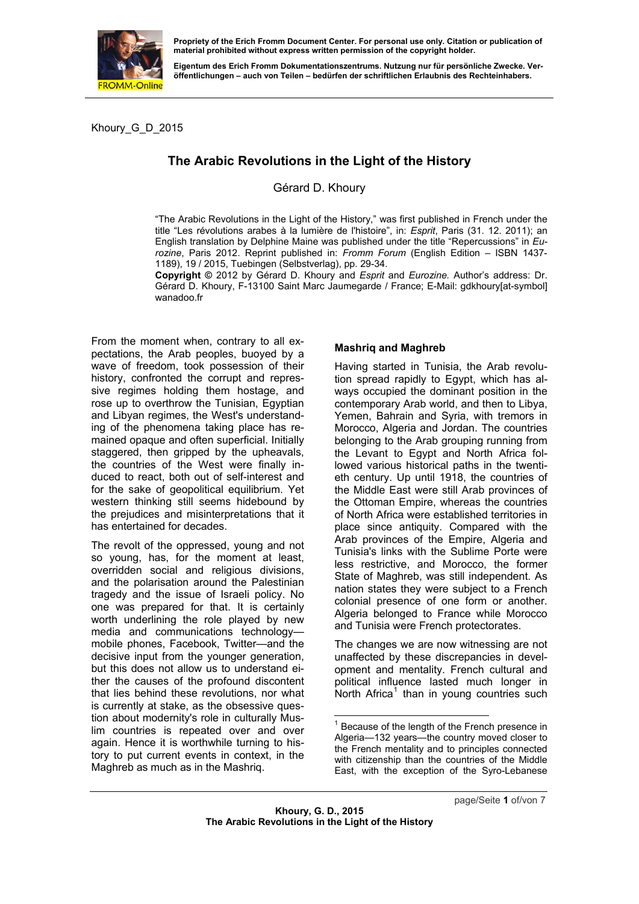

**material prohibited without express written permission of the copyright holder.** 

**Eigentum des Erich Fromm Dokumentationszentrums. Nutzung nur für persönliche Zwecke. Veröffentlichungen – auch von Teilen – bedürfen der schriftlichen Erlaubnis des Rechteinhabers.** 

Khoury\_G\_D\_2015

# **The Arabic Revolutions in the Light of the History**

# Gérard D. Khoury

"The Arabic Revolutions in the Light of the History," was first published in French under the title "Les révolutions arabes à la lumière de l'histoire", in: *Esprit*, Paris (31. 12. 2011); an English translation by Delphine Maine was published under the title "Repercussions" in *Eurozine*, Paris 2012. Reprint published in: *Fromm Forum* (English Edition – ISBN 1437- 1189), 19 / 2015, Tuebingen (Selbstverlag), pp. 29-34.

**Copyright ©** 2012 by Gérard D. Khoury and *Esprit* and *Eurozine.* Author's address: Dr. Gérard D. Khoury, F-13100 Saint Marc Jaumegarde / France; E-Mail: gdkhoury[at-symbol] wanadoo.fr

From the moment when, contrary to all expectations, the Arab peoples, buoyed by a wave of freedom, took possession of their history, confronted the corrupt and repressive regimes holding them hostage, and rose up to overthrow the Tunisian, Egyptian and Libyan regimes, the West's understanding of the phenomena taking place has remained opaque and often superficial. Initially staggered, then gripped by the upheavals, the countries of the West were finally induced to react, both out of self-interest and for the sake of geopolitical equilibrium. Yet western thinking still seems hidebound by the prejudices and misinterpretations that it has entertained for decades.

<span id="page-0-0"></span>The revolt of the oppressed, young and not so young, has, for the moment at least, overridden social and religious divisions, and the polarisation around the Palestinian tragedy and the issue of Israeli policy. No one was prepared for that. It is certainly worth underlining the role played by new media and communications technology mobile phones, Facebook, Twitter—and the decisive input from the younger generation, but this does not allow us to understand either the causes of the profound discontent that lies behind these revolutions, nor what is currently at stake, as the obsessive question about modernity's role in culturally Muslim countries is repeated over and over again. Hence it is worthwhile turning to history to put current events in context, in the Maghreb as much as in the Mashriq.

#### **Mashriq and Maghreb**

Having started in Tunisia, the Arab revolution spread rapidly to Egypt, which has always occupied the dominant position in the contemporary Arab world, and then to Libya, Yemen, Bahrain and Syria, with tremors in Morocco, Algeria and Jordan. The countries belonging to the Arab grouping running from the Levant to Egypt and North Africa followed various historical paths in the twentieth century. Up until 1918, the countries of the Middle East were still Arab provinces of the Ottoman Empire, whereas the countries of North Africa were established territories in place since antiquity. Compared with the Arab provinces of the Empire, Algeria and Tunisia's links with the Sublime Porte were less restrictive, and Morocco, the former State of Maghreb, was still independent. As nation states they were subject to a French colonial presence of one form or another. Algeria belonged to France while Morocco and Tunisia were French protectorates.

The changes we are now witnessing are not unaffected by these discrepancies in development and mentality. French cultural and political influence lasted much longer in North Africa<sup>1</sup> than in young countries such

 $1$  Because of the length of the French presence in Algeria—132 [y](#page-0-0)ears—the country moved closer to the French mentality and to principles connected with citizenship than the countries of the Middle East, with the exception of the Syro-Lebanese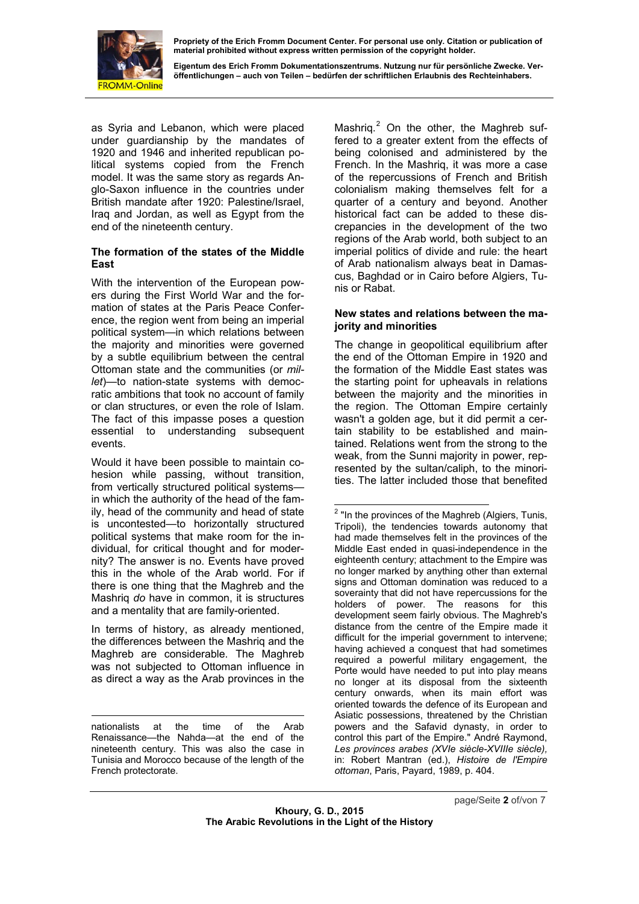

**material prohibited without express written permission of the copyright holder.** 

**Eigentum des Erich Fromm Dokumentationszentrums. Nutzung nur für persönliche Zwecke. Veröffentlichungen – auch von Teilen – bedürfen der schriftlichen Erlaubnis des Rechteinhabers.** 

as Syria and Lebanon, which were placed under guardianship by the mandates of 1920 and 1946 and inherited republican political systems copied from the French model. It was the same story as regards Anglo-Saxon influence in the countries under British mandate after 1920: Palestine/Israel, Iraq and Jordan, as well as Egypt from the end of the nineteenth century.

#### **The formation of the states of the Middle East**

With the intervention of the European powers during the First World War and the formation of states at the Paris Peace Conference, the region went from being an imperial political system—in which relations between the majority and minorities were governed by a subtle equilibrium between the central Ottoman state and the communities (or *millet*)—to nation-state systems with democratic ambitions that took no account of family or clan structures, or even the role of Islam. The fact of this impasse poses a question essential to understanding subsequent events.

Would it have been possible to maintain cohesion while passing, without transition, from vertically structured political systems in which the authority of the head of the family, head of the community and head of state is uncontested—to horizontally structured political systems that make room for the individual, for critical thought and for modernity? The answer is no. Events have proved this in the whole of the Arab world. For if there is one thing that the Maghreb and the Mashriq *do* have in common, it is structures and a mentality that are family-oriented.

<span id="page-1-0"></span>In terms of history, as already mentioned, the differences between the Mashriq and the Maghreb are considerable. The Maghreb was not subjected to Ottoman influence in as direct a way as the Arab provinces in the

Mashriq.<sup>2</sup> On the other, the Maghreb suffered to a greater extent from the effects of being colonised and administered by the French. In the Mashriq, it was more a case of the r[ep](#page-1-0)ercussions of French and British colonialism making themselves felt for a quarter of a century and beyond. Another historical fact can be added to these discrepancies in the development of the two regions of the Arab world, both subject to an imperial politics of divide and rule: the heart of Arab nationalism always beat in Damascus, Baghdad or in Cairo before Algiers, Tunis or Rabat.

#### **New states and relations between the majority and minorities**

The change in geopolitical equilibrium after the end of the Ottoman Empire in 1920 and the formation of the Middle East states was the starting point for upheavals in relations between the majority and the minorities in the region. The Ottoman Empire certainly wasn't a golden age, but it did permit a certain stability to be established and maintained. Relations went from the strong to the weak, from the Sunni majority in power, represented by the sultan/caliph, to the minorities. The latter included those that benefited

 $\overline{a}$ 

 nationalists at the time of the Arab Renaissance—the Nahda—at the end of the nineteenth century. This was also the case in Tunisia and Morocco because of the length of the French protectorate.

 $2$  "In the provinces of the Maghreb (Algiers, Tunis, Tripoli), the tendencies towards autonomy that had made themselves felt in the provinces of the Middle East ended in quasi-independence in the eighteenth century; attachment to the Empire was no longer marked by anything other than external signs and Ottoman domination was reduced to a soverainty that did not have repercussions for the holders of power. The reasons for this development seem fairly obvious. The Maghreb's distance from the centre of the Empire made it difficult for the imperial government to intervene; having achieved a conquest that had sometimes required a powerful military engagement, the Porte would have needed to put into play means no longer at its disposal from the sixteenth century onwards, when its main effort was oriented towards the defence of its European and Asiatic possessions, threatened by the Christian powers and the Safavid dynasty, in order to control this part of the Empire." André Raymond, *Les provinces arabes (XVIe siècle-XVIIIe siècle),* in: Robert Mantran (ed.), *Histoire de l'Empire ottoman*, Paris, Payard, 1989, p. 404.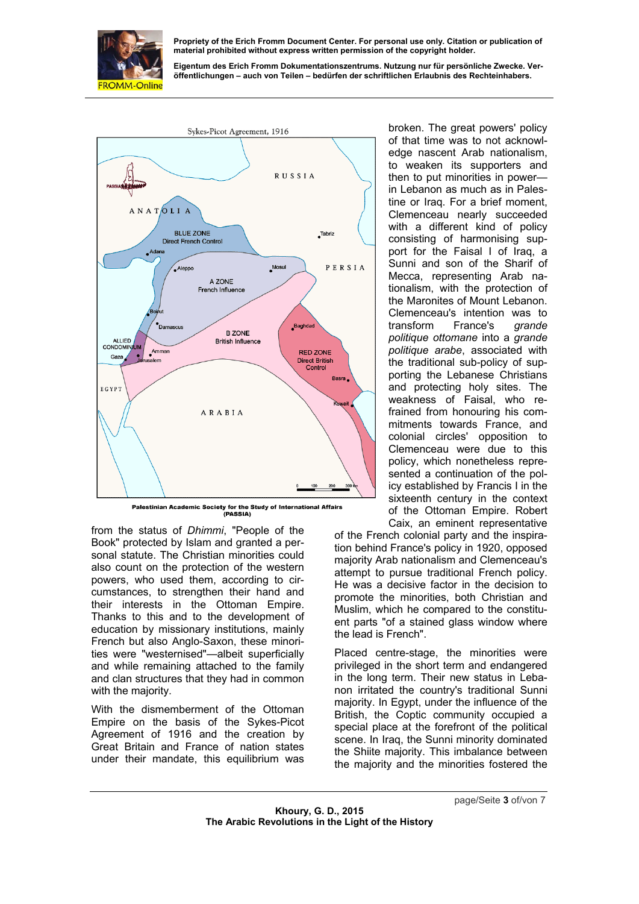

**Eigentum des Erich Fromm Dokumentationszentrums. Nutzung nur für persönliche Zwecke. Veröffentlichungen – auch von Teilen – bedürfen der schriftlichen Erlaubnis des Rechteinhabers.** 



Palestinian Academic Society for the Study of International Affairs (PASSIA)

from the status of *Dhimmi*, "People of the Book" protected by Islam and granted a personal statute. The Christian minorities could also count on the protection of the western powers, who used them, according to circumstances, to strengthen their hand and their interests in the Ottoman Empire. Thanks to this and to the development of education by missionary institutions, mainly French but also Anglo-Saxon, these minorities were "westernised"—albeit superficially and while remaining attached to the family and clan structures that they had in common with the majority.

With the dismemberment of the Ottoman Empire on the basis of the Sykes-Picot Agreement of 1916 and the creation by Great Britain and France of nation states under their mandate, this equilibrium was

broken. The great powers' policy of that time was to not acknowledge nascent Arab nationalism, to weaken its supporters and then to put minorities in power in Lebanon as much as in Palestine or Iraq. For a brief moment, Clemenceau nearly succeeded with a different kind of policy consisting of harmonising support for the Faisal I of Iraq, a Sunni and son of the Sharif of Mecca, representing Arab nationalism, with the protection of the Maronites of Mount Lebanon. Clemenceau's intention was to transform France's *grande politique ottomane* into a *grande politique arabe*, associated with the traditional sub-policy of supporting the Lebanese Christians and protecting holy sites. The weakness of Faisal, who refrained from honouring his commitments towards France, and colonial circles' opposition to Clemenceau were due to this policy, which nonetheless represented a continuation of the policy established by Francis I in the sixteenth century in the context of the Ottoman Empire. Robert Caix, an eminent representative

of the French colonial party and the inspiration behind France's policy in 1920, opposed majority Arab nationalism and Clemenceau's attempt to pursue traditional French policy. He was a decisive factor in the decision to promote the minorities, both Christian and Muslim, which he compared to the constituent parts "of a stained glass window where the lead is French".

Placed centre-stage, the minorities were privileged in the short term and endangered in the long term. Their new status in Lebanon irritated the country's traditional Sunni majority. In Egypt, under the influence of the British, the Coptic community occupied a special place at the forefront of the political scene. In Iraq, the Sunni minority dominated the Shiite majority. This imbalance between the majority and the minorities fostered the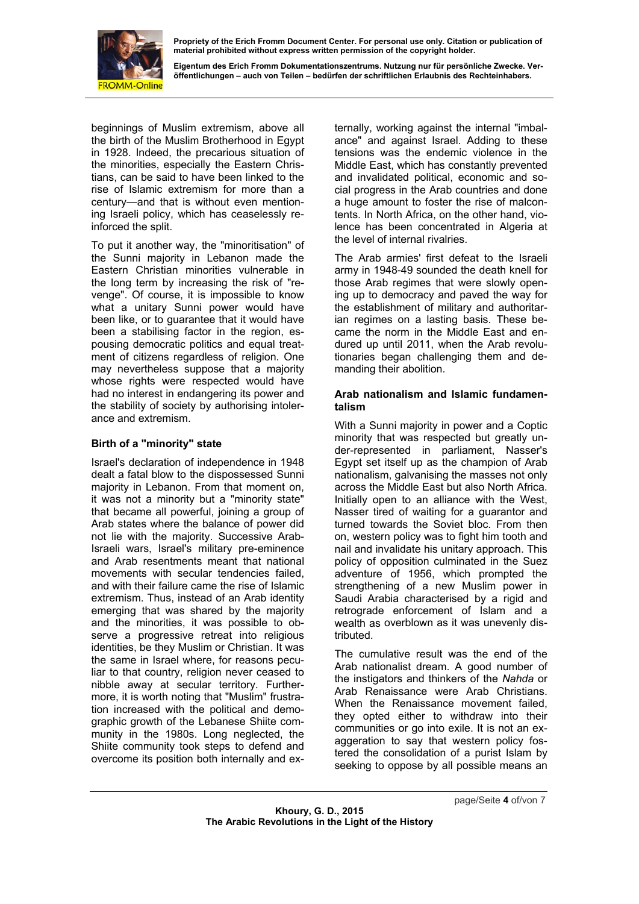

**Eigentum des Erich Fromm Dokumentationszentrums. Nutzung nur für persönliche Zwecke. Veröffentlichungen – auch von Teilen – bedürfen der schriftlichen Erlaubnis des Rechteinhabers.** 

beginnings of Muslim extremism, above all the birth of the Muslim Brotherhood in Egypt in 1928. Indeed, the precarious situation of the minorities, especially the Eastern Christians, can be said to have been linked to the rise of Islamic extremism for more than a century—and that is without even mentioning Israeli policy, which has ceaselessly reinforced the split.

the stability of society by authorising intolerance and extremism. To put it another way, the "minoritisation" of the Sunni majority in Lebanon made the Eastern Christian minorities vulnerable in the long term by increasing the risk of "revenge". Of course, it is impossible to know what a unitary Sunni power would have been like, or to guarantee that it would have been a stabilising factor in the region, espousing democratic politics and equal treatment of citizens regardless of religion. One may nevertheless suppose that a majority whose rights were respected would have had no interest in endangering its power and

# **Birth of a "minority" state**

Israel's declaration of independence in 1948 dealt a fatal blow to the dispossessed Sunni majority in Lebanon. From that moment on, it was not a minority but a "minority state" that became all powerful, joining a group of Arab states where the balance of power did not lie with the majority. Successive Arab-Israeli wars, Israel's military pre-eminence and Arab resentments meant that national movements with secular tendencies failed and with their failure came the rise of Islamic extremism. Thus, instead of an Arab identity emerging that was shared by the majority and the minorities, it was possible to observe a progressive retreat into religious identities, be they Muslim or Christian. It was the same in Israel where, for reasons peculiar to that country, religion never ceased to nibble away at secular territory. Furthermore, it is worth noting that "Muslim" frustration increased with the political and demographic growth of the Lebanese Shiite community in the 1980s. Long neglected, the Shiite community took steps to defend and overcome its position both internally and ex-

lence has been concentrated in Algeria at ternally, working against the internal "imbalance" and against Israel. Adding to these tensions was the endemic violence in the Middle East, which has constantly prevented and invalidated political, economic and social progress in the Arab countries and done a huge amount to foster the rise of malcontents. In North Africa, on the other hand, viothe level of internal rivalries.

tionaries began challenging them and demanding their abolition. The Arab armies' first defeat to the Israeli army in 1948-49 sounded the death knell for those Arab regimes that were slowly opening up to democracy and paved the way for the establishment of military and authoritarian regimes on a lasting basis. These became the norm in the Middle East and endured up until 2011, when the Arab revolu-

# Arab nationalism and Islamic fundamen**talism**

wealth as overblown as it was unevenly dis-With a Sunni majority in power and a Coptic minority that was respected but greatly under-represented in parliament, Nasser's Egypt set itself up as the champion of Arab nationalism, galvanising the masses not only across the Middle East but also North Africa. Initially open to an alliance with the West, Nasser tired of waiting for a guarantor and turned towards the Soviet bloc. From then on, western policy was to fight him tooth and nail and invalidate his unitary approach. This policy of opposition culminated in the Suez adventure of 1956, which prompted the strengthening of a new Muslim power in Saudi Arabia characterised by a rigid and retrograde enforcement of Islam and a tributed.

The cumulative result was the end of the Arab nationalist dream. A good number of the instigators and thinkers of the *Nahda* or Arab Renaissance were Arab Christians. When the Renaissance movement failed, they opted either to withdraw into their communities or go into exile. It is not an exaggeration to say that western policy fostered the consolidation of a purist Islam by seeking to oppose by all possible means an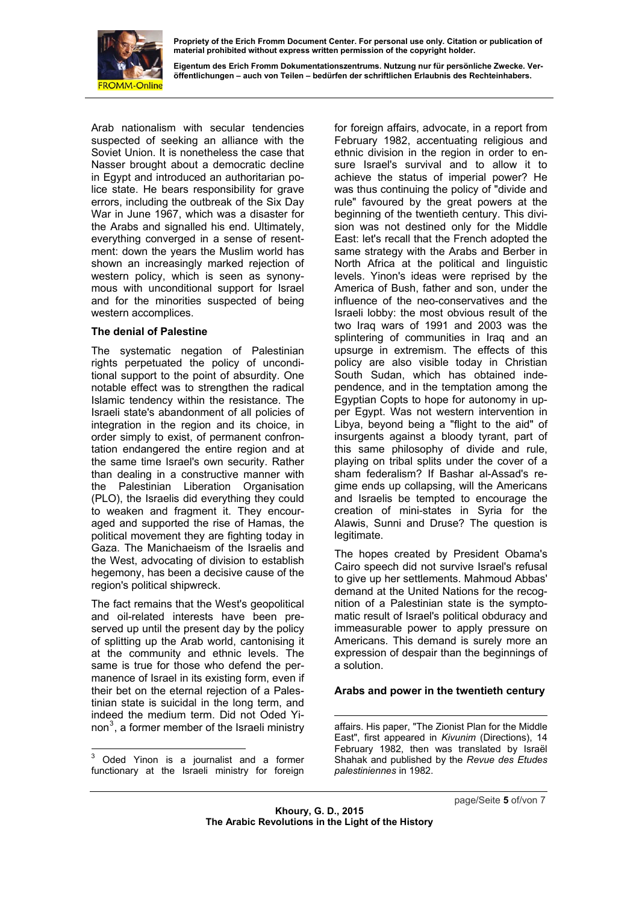

**Eigentum des Erich Fromm Dokumentationszentrums. Nutzung nur für persönliche Zwecke. Veröffentlichungen – auch von Teilen – bedürfen der schriftlichen Erlaubnis des Rechteinhabers.** 

Arab nationalism with secular tendencies suspected of seeking an alliance with the Soviet Union. It is nonetheless the case that Nasser brought about a democratic decline in Egypt and introduced an authoritarian police state. He bears responsibility for grave errors, including the outbreak of the Six Day War in June 1967, which was a disaster for the Arabs and signalled his end. Ultimately, everything converged in a sense of resentment: down the years the Muslim world has shown an increasingly marked rejection of western policy, which is seen as synonymous with unconditional support for Israel and for the minorities suspected of being western accomplices.

#### **The denial of Palestine**

hegemony, has been a decisive cause of the The systematic negation of Palestinian rights perpetuated the policy of unconditional support to the point of absurdity. One notable effect was to strengthen the radical Islamic tendency within the resistance. The Israeli state's abandonment of all policies of integration in the region and its choice, in order simply to exist, of permanent confrontation endangered the entire region and at the same time Israel's own security. Rather than dealing in a constructive manner with the Palestinian Liberation Organisation (PLO), the Israelis did everything they could to weaken and fragment it. They encouraged and supported the rise of Hamas, the political movement they are fighting today in Gaza. The Manichaeism of the Israelis and the West, advocating of division to establish region's political shipwreck.

non<sup>3</sup>, a former member of the Israeli ministry The fact remains that the West's geopolitical and oil-related interests have been preserved up until the present day by the policy of splitting up the Arab world, cantonising it at the community and ethnic levels. The same is true for those who defend the permanence of Israel in its existing form, even if their bet on the eternal rejection of a Palestinian state is suicidal in the long term, and indeed the medium term. Did not Oded Yi-

 3 Oded Yinon is a journalist and a former functionary at the Israeli ministry for foreign for foreign affairs, advocate, in a report from February 1982, accentuating religious and ethnic division in the region in order to ensure Israel's survival and to allow it to achieve the status of imperial power? He was thus continuing the policy of "divide and rule" favoured by the great powers at the beginning of the twentieth century. This division was not destined only for the Middle East: let's recall that the French adopted the same strategy with the Arabs and Berber in North Africa at the political and linguistic levels. Yinon's ideas were reprised by the America of Bush, father and son, under the influence of the neo-conservatives and the Israeli lobby: the most obvious result of the two Iraq wars of 1991 and 2003 was the splintering of communities in Iraq and an upsurge in extremism. The effects of this policy are also visible today in Christian South Sudan, which has obtained independence, and in the temptation among the Egyptian Copts to hope for autonomy in upper Egypt. Was not western intervention in Libya, beyond being a "flight to the aid" of insurgents against a bloody tyrant, part of this same philosophy of divide and rule, playing on tribal splits under the cover of a sham federalism? If Bashar al-Assad's regime ends up collapsing, will the Americans and Israelis be tempted to encourage the creation of mini-states in Syria for the Alawis, Sunni and Druse? The question is legitimate.

The hopes created by President Obama's Cairo speech did not survive Israel's refusal to give up her settlements. Mahmoud Abbas' demand at the United Nations for the recognition of a Palestinian state is the symptomatic result of Israel's political obduracy and immeasurable power to apply pressure on Americans. This demand is surely more an expression of despair than the beginnings of a solution.

# **Arabs and power in the twentieth century**

1 affairs. His paper, "The Zionist Plan for the Middle East", first appeared in *Kivunim* (Directions), 14 February 1982, then was translated by Israël Shahak and published by the *Revue des Etudes palestiniennes* in 1982.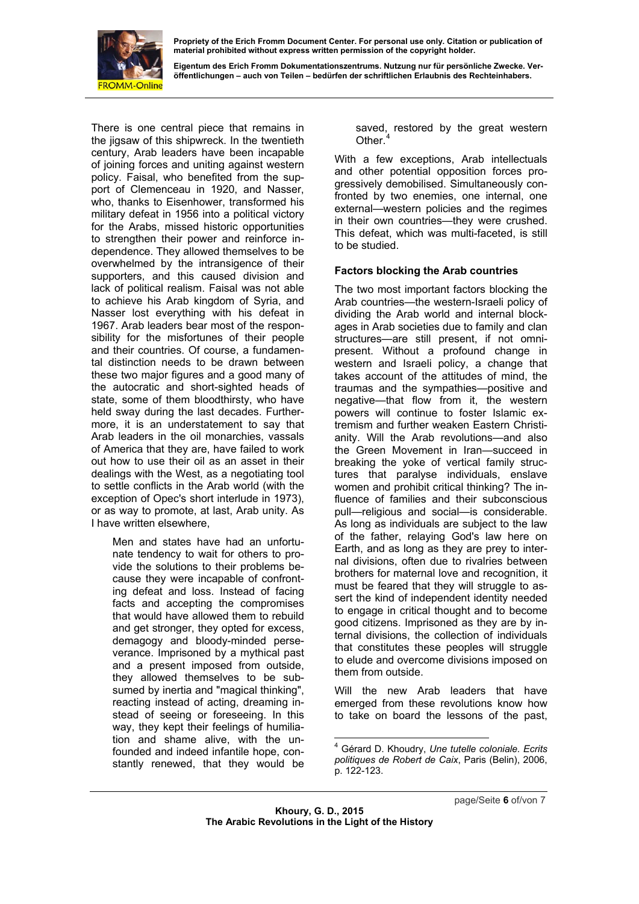

**Eigentum des Erich Fromm Dokumentationszentrums. Nutzung nur für persönliche Zwecke. Veröffentlichungen – auch von Teilen – bedürfen der schriftlichen Erlaubnis des Rechteinhabers.** 

There is one central piece that remains in the jigsaw of this shipwreck. In the twentieth century, Arab leaders have been incapable of joining forces and uniting against western policy. Faisal, who benefited from the support of Clemenceau in 1920, and Nasser, who, thanks to Eisenhower, transformed his military defeat in 1956 into a political victory for the Arabs, missed historic opportunities to strengthen their power and reinforce independence. They allowed themselves to be overwhelmed by the intransigence of their supporters, and this caused division and lack of political realism. Faisal was not able to achieve his Arab kingdom of Syria, and Nasser lost everything with his defeat in 1967. Arab leaders bear most of the responsibility for the misfortunes of their people and their countries. Of course, a fundamental distinction needs to be drawn between these two major figures and a good many of the autocratic and short-sighted heads of state, some of them bloodthirsty, who have held sway during the last decades. Furthermore, it is an understatement to say that Arab leaders in the oil monarchies, vassals of America that they are, have failed to work out how to use their oil as an asset in their dealings with the West, as a negotiating tool to settle conflicts in the Arab world (with the exception of Opec's short interlude in 1973), or as way to promote, at last, Arab unity. As I ha ve written elsewhere,

Men and states have had an unfortunate tendency to wait for others to provide the solutions to their problems because they were incapable of confronting defeat and loss. Instead of facing facts and accepting the compromises that would have allowed them to rebuild and get stronger, they opted for excess, demagogy and bloody-minded perseverance. Imprisoned by a mythical past and a present imposed from outside, they allowed themselves to be subsumed by inertia and "magical thinking", reacting instead of acting, dreaming instead of seeing or foreseeing. In this way, they kept their feelings of humiliation and shame alive, with the unfounded and indeed infantile hope, constantly renewed, that they would be saved, restored by the great western<br>Other  $4$ Other.

This defeat, which was multi-faceted, is still to be studied. With a few exceptions, Arab intellectuals and other potential opposition forces progressively demobilised. Simultaneously confronted by two enemies, one internal, one external—western policies and the regimes in their own countries—they were crushed.

# **Factors blocking the Arab countries**

to elude and overcome divisions imposed on The two most important factors blocking the Arab countries—the western-Israeli policy of dividing the Arab world and internal blockages in Arab societies due to family and clan structures—are still present, if not omnipresent. Without a profound change in western and Israeli policy, a change that takes account of the attitudes of mind, the traumas and the sympathies—positive and negative—that flow from it, the western powers will continue to foster Islamic extremism and further weaken Eastern Christianity. Will the Arab revolutions—and also the Green Movement in Iran—succeed in breaking the yoke of vertical family structures that paralyse individuals, enslave women and prohibit critical thinking? The influence of families and their subconscious pull—religious and social—is considerable. As long as individuals are subject to the law of the father, relaying God's law here on Earth, and as long as they are prey to internal divisions, often due to rivalries between brothers for maternal love and recognition, it must be feared that they will struggle to assert the kind of independent identity needed to engage in critical thought and to become good citizens. Imprisoned as they are by internal divisions, the collection of individuals that constitutes these peoples will struggle them from outside.

Will the new Arab leaders that have emerged from these revolutions know how to take on board the lessons of the past,

 4 Gérard D. Khoudry, *Une tutelle coloniale. Ecrits politiques de Robert de Caix*, Paris (Belin), 2006, p. 122-123.